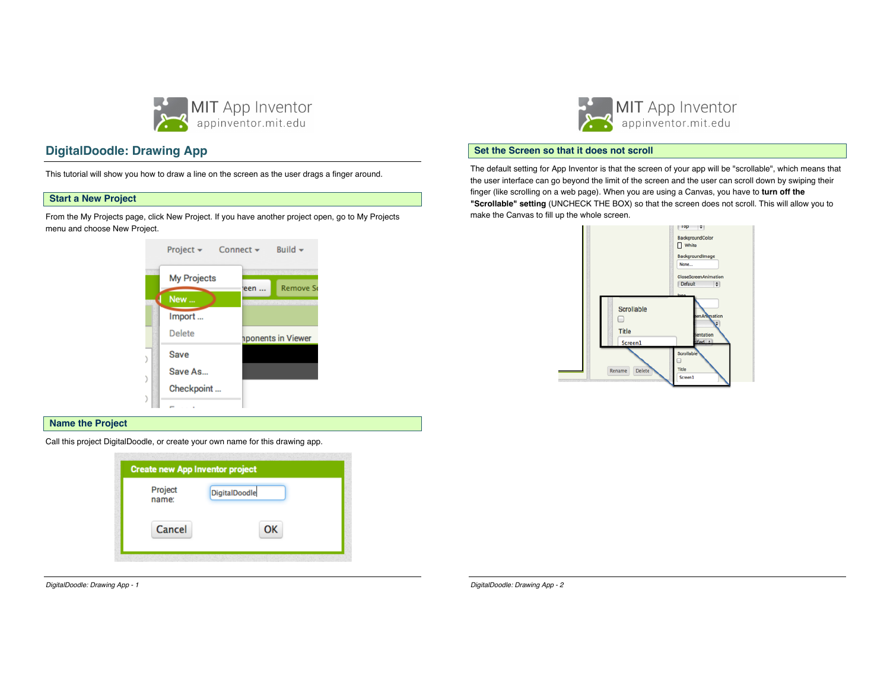

# **DigitalDoodle: Drawing App**

This tutorial will show you how to draw a line on the screen as the user drags a finger around.

### **Start a New Project**

From the My Projects page, click New Project. If you have another project open, go to My Projects menu and choose New Project.



### **Name the Project**

Call this project DigitalDoodle, or create your own name for this drawing app.

| <b>Create new App Inventor project</b> |  |  |  |
|----------------------------------------|--|--|--|
|                                        |  |  |  |
|                                        |  |  |  |
|                                        |  |  |  |

*DigitalDoodle: Drawing App - 1*



### **Set the Screen so that it does not scroll**

The default setting for App Inventor is that the screen of your app will be "scrollable", which means that the user interface can go beyond the limit of the screen and the user can scroll down by swiping their finger (like scrolling on a web page). When you are using a Canvas, you have to **turn off the "Scrollable" setting** (UNCHECK THE BOX) so that the screen does not scroll. This will allow you to make the Canvas to fill up the whole screen.



*DigitalDoodle: Drawing App - 2*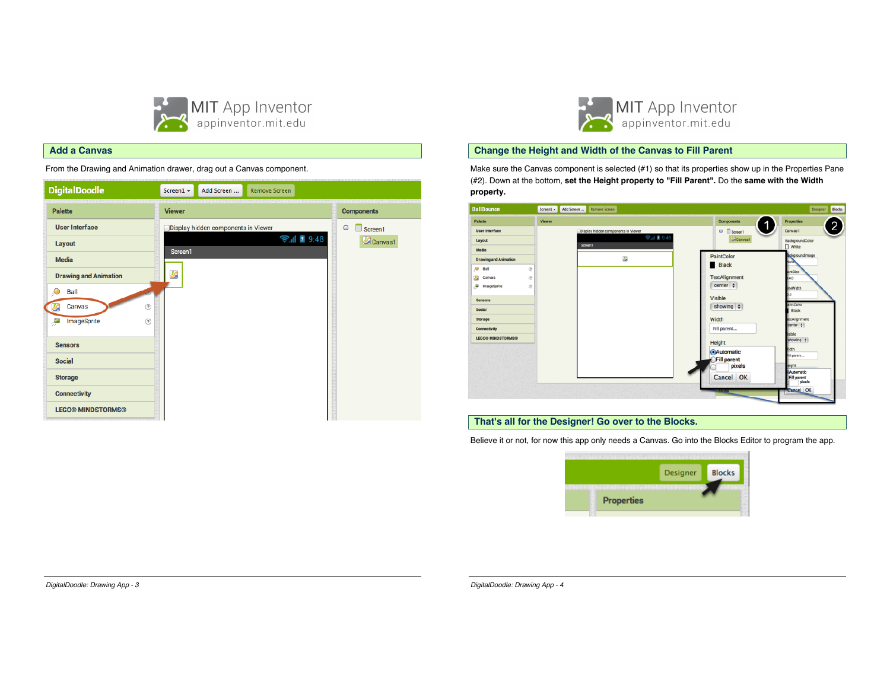

### **Add a Canvas**

From the Drawing and Animation drawer, drag out a Canvas component.





### **Change the Height and Width of the Canvas to Fill Parent**

Make sure the Canvas component is selected (#1) so that its properties show up in the Properties Pane (#2). Down at the bottom, **set the Height property to "Fill Parent".** Do the **same with the Width property.**

| <b>BallBounce</b>               | Screen1 - Add Screen  Remove Screen |                      | Designer Blocks                 |
|---------------------------------|-------------------------------------|----------------------|---------------------------------|
| Palette                         | Viewer                              | Components           | <b>Properties</b>               |
| <b>User Interface</b>           | Display hidden components in Viewer | □ Screen1            | 2<br>Canvas1                    |
| Layout                          | → 1 ■ 9:48<br>Screen1               | Canvas1              | BackgroundColor<br>$\Box$ White |
| Media                           |                                     |                      | ackgroundlmage                  |
| <b>Drawing and Animation</b>    | 鷗                                   | PaintColor           | lone                            |
| $9$ Ball<br>$\circledR$         |                                     | Black                | bntSize                         |
| $^\circledR$<br>U,<br>Canvas    |                                     | <b>TextAlignment</b> | 4.0                             |
| e<br>$\circledR$<br>ImageSprite |                                     | center $\div$        | eWidth                          |
| <b>Sensors</b>                  |                                     | Visible              |                                 |
| Social                          |                                     | showing $\phi$       | aintColor<br>Black              |
| Storage                         |                                     | Width                | extAlignment                    |
| Connectivity                    |                                     | Fill parent          | center #                        |
| <b>LEGOS MINDSTORMSS</b>        |                                     | Height               | <b>sible</b><br>showing #       |
|                                 |                                     | <b>Automatic</b>     | dth                             |
|                                 |                                     | Fill parent          | <b>Il parent</b>                |
|                                 |                                     | pixels               | eight<br>Automatic              |
|                                 |                                     | Cancel OK            | Fill parent<br>pixels           |
|                                 |                                     | <b>MAG</b>           | <b>Cancel OK</b>                |
|                                 |                                     |                      |                                 |

### **That's all for the Designer! Go over to the Blocks.**

Believe it or not, for now this app only needs a Canvas. Go into the Blocks Editor to program the app.



*DigitalDoodle: Drawing App - 3*

*DigitalDoodle: Drawing App - 4*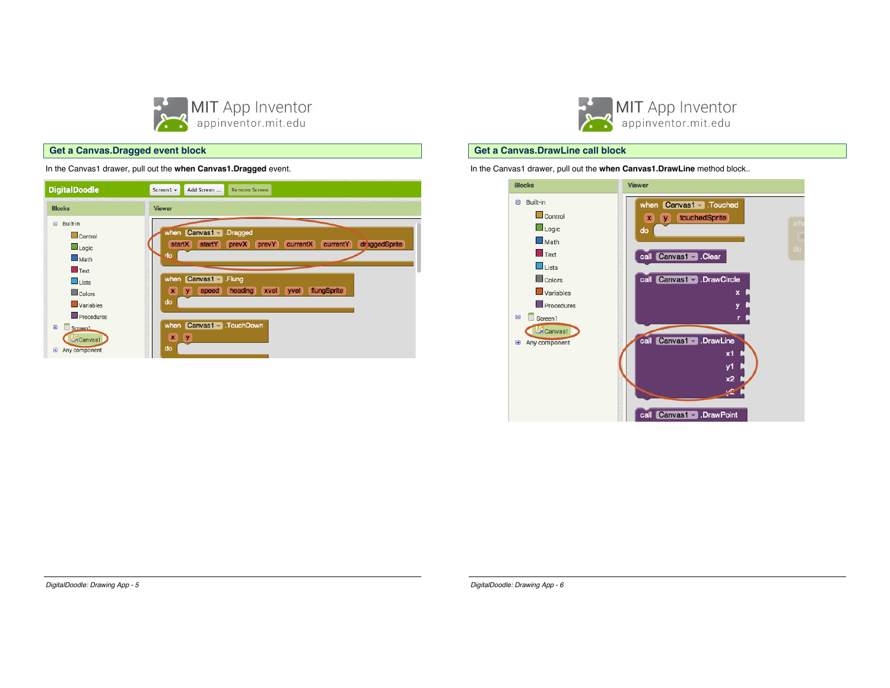

# MIT App Inventor

### **Get a Canvas.DrawLine call block**

In the Canvas1 drawer, pull out the **when Canvas1.DrawLine** method block..



### **Get a Canvas.Dragged event block**

In the Canvas1 drawer, pull out the **when Canvas1.Dragged** event.